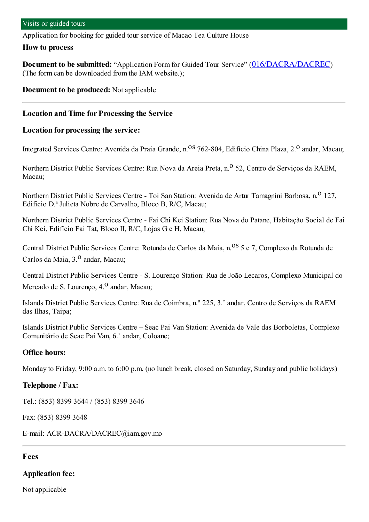Application for booking for guided tour service of Macao Tea Culture House

#### **How to process**

**Document to be submitted:** "Application Form for Guided Tour Service" ([016/DACRA/DACREC](https://www.iam.gov.mo/c/pdf/eformDetail/PDF2031)) (The formcan be downloaded fromthe IAM website.);

**Document to be produced:** Not applicable

#### **Location and Time for Processing the Service**

#### **Location for processing the service:**

Integrated Services Centre: Avenida da Praia Grande, n.<sup>08</sup> 762-804, Edifício China Plaza, 2.<sup>0</sup> andar. Macau:

Northern District Public Services Centre: Rua Nova da Areia Preta, n.<sup>o</sup> 52, Centro de Servicos da RAEM, Macau;

Northern District Public Services Centre - Toi San Station: Avenida de Artur Tamagnini Barbosa, n.<sup>0</sup> 127, Edifício D.ª Julieta Nobre de Carvalho, Bloco B, R/C, Macau;

Northern District Public Services Centre - Fai Chi Kei Station: Rua Nova do Patane, Habitação Social de Fai Chi Kei, Edifício Fai Tat, Bloco II, R/C, Lojas G e H, Macau;

Central District Public Services Centre: Rotunda de Carlos da Maia, n.<sup>08</sup> 5 e 7, Complexo da Rotunda de Carlos da Maia, 3.º andar, Macau:

Central District Public Services Centre - S. Lourenço Station: Rua de João Lecaros, Complexo Municipal do Mercado de S. Lourenco, 4.<sup>0</sup> andar, Macau;

Islands District Public Services Centre:Rua de Coimbra, n.º 225, 3.˚ andar, Centro de Serviços da RAEM das Ilhas, Taipa;

Islands District Public Services Centre – Seac Pai Van Station: Avenida de Vale das Borboletas, Complexo Comunitário de Seac Pai Van, 6.˚ andar, Coloane;

#### **Office hours:**

Monday to Friday, 9:00 a.m. to 6:00 p.m. (no lunch break, closed on Saturday, Sunday and public holidays)

#### **Telephone / Fax:**

Tel.: (853) 8399 3644 / (853) 8399 3646

Fax: (853) 8399 3648

E-mail: ACR-DACRA/DACREC@iam.gov.mo

#### **Fees**

**Application fee:**

Not applicable